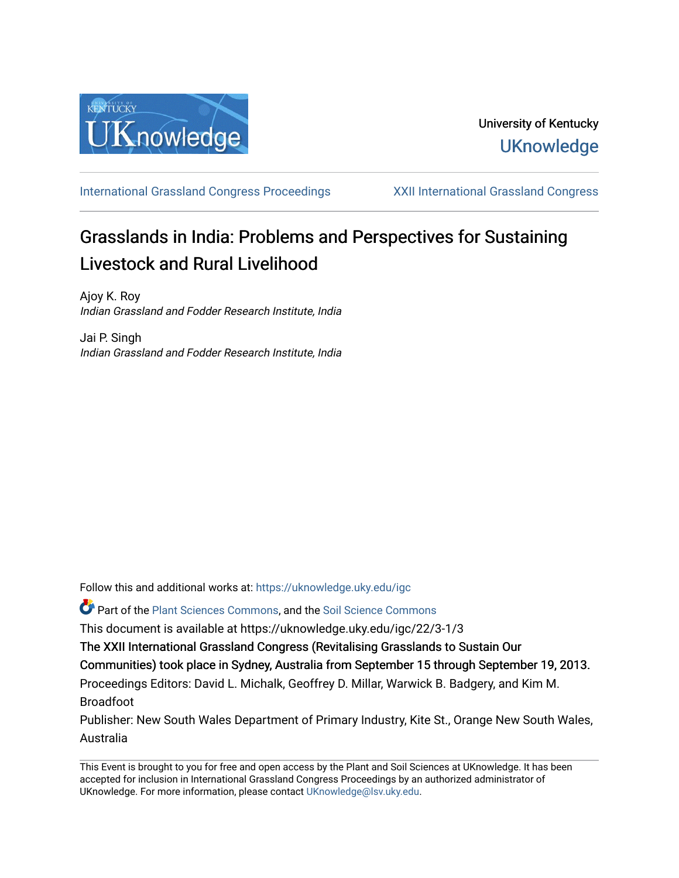

[International Grassland Congress Proceedings](https://uknowledge.uky.edu/igc) [XXII International Grassland Congress](https://uknowledge.uky.edu/igc/22) 

# Grasslands in India: Problems and Perspectives for Sustaining Livestock and Rural Livelihood

Ajoy K. Roy Indian Grassland and Fodder Research Institute, India

Jai P. Singh Indian Grassland and Fodder Research Institute, India

Follow this and additional works at: [https://uknowledge.uky.edu/igc](https://uknowledge.uky.edu/igc?utm_source=uknowledge.uky.edu%2Figc%2F22%2F3-1%2F3&utm_medium=PDF&utm_campaign=PDFCoverPages) 

Part of the [Plant Sciences Commons](http://network.bepress.com/hgg/discipline/102?utm_source=uknowledge.uky.edu%2Figc%2F22%2F3-1%2F3&utm_medium=PDF&utm_campaign=PDFCoverPages), and the [Soil Science Commons](http://network.bepress.com/hgg/discipline/163?utm_source=uknowledge.uky.edu%2Figc%2F22%2F3-1%2F3&utm_medium=PDF&utm_campaign=PDFCoverPages) 

This document is available at https://uknowledge.uky.edu/igc/22/3-1/3

The XXII International Grassland Congress (Revitalising Grasslands to Sustain Our

Communities) took place in Sydney, Australia from September 15 through September 19, 2013.

Proceedings Editors: David L. Michalk, Geoffrey D. Millar, Warwick B. Badgery, and Kim M. Broadfoot

Publisher: New South Wales Department of Primary Industry, Kite St., Orange New South Wales, Australia

This Event is brought to you for free and open access by the Plant and Soil Sciences at UKnowledge. It has been accepted for inclusion in International Grassland Congress Proceedings by an authorized administrator of UKnowledge. For more information, please contact [UKnowledge@lsv.uky.edu](mailto:UKnowledge@lsv.uky.edu).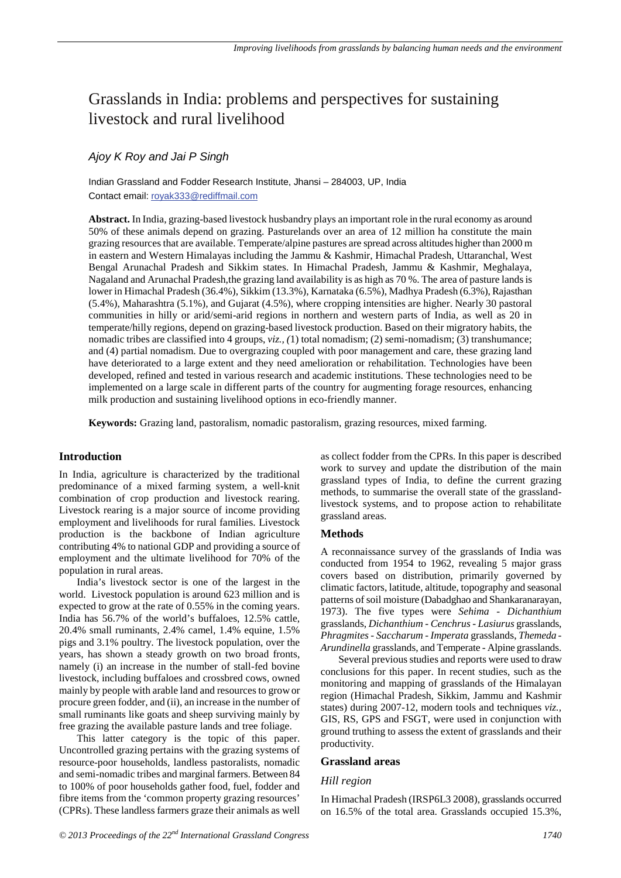## Grasslands in India: problems and perspectives for sustaining livestock and rural livelihood

### *Ajoy K Roy and Jai P Singh*

Indian Grassland and Fodder Research Institute, Jhansi – 284003, UP, India Contact email: royak333@rediffmail.com

**Abstract.** In India, grazing-based livestock husbandry plays an important role in the rural economy as around 50% of these animals depend on grazing. Pasturelands over an area of 12 million ha constitute the main grazing resources that are available. Temperate/alpine pastures are spread across altitudes higher than 2000 m in eastern and Western Himalayas including the Jammu & Kashmir, Himachal Pradesh, Uttaranchal, West Bengal Arunachal Pradesh and Sikkim states. In Himachal Pradesh, Jammu & Kashmir, Meghalaya, Nagaland and Arunachal Pradesh,the grazing land availability is as high as 70 %. The area of pasture lands is lower in Himachal Pradesh (36.4%), Sikkim (13.3%), Karnataka (6.5%), Madhya Pradesh (6.3%), Rajasthan (5.4%), Maharashtra (5.1%), and Gujarat (4.5%), where cropping intensities are higher. Nearly 30 pastoral communities in hilly or arid/semi-arid regions in northern and western parts of India, as well as 20 in temperate/hilly regions, depend on grazing-based livestock production. Based on their migratory habits, the nomadic tribes are classified into 4 groups, *viz., (*1) total nomadism; (2) semi-nomadism; (3) transhumance; and (4) partial nomadism. Due to overgrazing coupled with poor management and care, these grazing land have deteriorated to a large extent and they need amelioration or rehabilitation. Technologies have been developed, refined and tested in various research and academic institutions. These technologies need to be implemented on a large scale in different parts of the country for augmenting forage resources, enhancing milk production and sustaining livelihood options in eco-friendly manner.

**Keywords:** Grazing land, pastoralism, nomadic pastoralism, grazing resources, mixed farming.

#### **Introduction**

In India, agriculture is characterized by the traditional predominance of a mixed farming system, a well-knit combination of crop production and livestock rearing. Livestock rearing is a major source of income providing employment and livelihoods for rural families. Livestock production is the backbone of Indian agriculture contributing 4% to national GDP and providing a source of employment and the ultimate livelihood for 70% of the population in rural areas.

India's livestock sector is one of the largest in the world. Livestock population is around 623 million and is expected to grow at the rate of 0.55% in the coming years. India has 56.7% of the world's buffaloes, 12.5% cattle, 20.4% small ruminants, 2.4% camel, 1.4% equine, 1.5% pigs and 3.1% poultry. The livestock population, over the years, has shown a steady growth on two broad fronts, namely (i) an increase in the number of stall-fed bovine livestock, including buffaloes and crossbred cows, owned mainly by people with arable land and resources to grow or procure green fodder, and (ii), an increase in the number of small ruminants like goats and sheep surviving mainly by free grazing the available pasture lands and tree foliage.

This latter category is the topic of this paper. Uncontrolled grazing pertains with the grazing systems of resource-poor households, landless pastoralists, nomadic and semi-nomadic tribes and marginal farmers. Between 84 to 100% of poor households gather food, fuel, fodder and fibre items from the 'common property grazing resources' (CPRs). These landless farmers graze their animals as well

as collect fodder from the CPRs. In this paper is described work to survey and update the distribution of the main grassland types of India, to define the current grazing methods, to summarise the overall state of the grasslandlivestock systems, and to propose action to rehabilitate grassland areas.

#### **Methods**

A reconnaissance survey of the grasslands of India was conducted from 1954 to 1962, revealing 5 major grass covers based on distribution, primarily governed by climatic factors, latitude, altitude, topography and seasonal patterns of soil moisture (Dabadghao and Shankaranarayan, 1973). The five types were *Sehima - Dichanthium* grasslands, *Dichanthium - Cenchrus - Lasiurus* grasslands, *Phragmites - Saccharum - Imperata* grasslands, *Themeda - Arundinella* grasslands, and Temperate - Alpine grasslands.

Several previous studies and reports were used to draw conclusions for this paper. In recent studies, such as the monitoring and mapping of grasslands of the Himalayan region (Himachal Pradesh, Sikkim, Jammu and Kashmir states) during 2007-12, modern tools and techniques *viz.,* GIS, RS, GPS and FSGT, were used in conjunction with ground truthing to assess the extent of grasslands and their productivity.

#### **Grassland areas**

#### *Hill region*

In Himachal Pradesh (IRSP6L3 2008), grasslands occurred on 16.5% of the total area. Grasslands occupied 15.3%,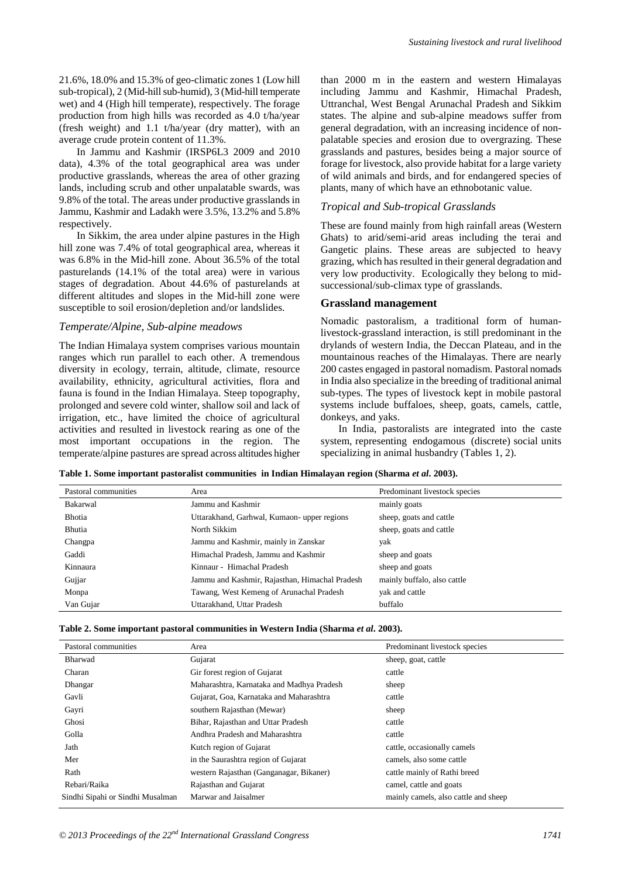21.6%, 18.0% and 15.3% of geo-climatic zones 1 (Low hill sub-tropical), 2 (Mid-hill sub-humid), 3 (Mid-hill temperate wet) and 4 (High hill temperate), respectively. The forage production from high hills was recorded as 4.0 t/ha/year (fresh weight) and 1.1 t/ha/year (dry matter), with an average crude protein content of 11.3%.

In Jammu and Kashmir (IRSP6L3 2009 and 2010 data), 4.3% of the total geographical area was under productive grasslands, whereas the area of other grazing lands, including scrub and other unpalatable swards, was 9.8% of the total. The areas under productive grasslands in Jammu, Kashmir and Ladakh were 3.5%, 13.2% and 5.8% respectively.

In Sikkim, the area under alpine pastures in the High hill zone was 7.4% of total geographical area, whereas it was 6.8% in the Mid-hill zone. About 36.5% of the total pasturelands (14.1% of the total area) were in various stages of degradation. About 44.6% of pasturelands at different altitudes and slopes in the Mid-hill zone were susceptible to soil erosion/depletion and/or landslides.

#### *Temperate/Alpine, Sub-alpine meadows*

The Indian Himalaya system comprises various mountain ranges which run parallel to each other. A tremendous diversity in ecology, terrain, altitude, climate, resource availability, ethnicity, agricultural activities, flora and fauna is found in the Indian Himalaya. Steep topography, prolonged and severe cold winter, shallow soil and lack of irrigation, etc., have limited the choice of agricultural activities and resulted in livestock rearing as one of the most important occupations in the region. The temperate/alpine pastures are spread across altitudes higher than 2000 m in the eastern and western Himalayas including Jammu and Kashmir, Himachal Pradesh, Uttranchal, West Bengal Arunachal Pradesh and Sikkim states. The alpine and sub-alpine meadows suffer from general degradation, with an increasing incidence of nonpalatable species and erosion due to overgrazing. These grasslands and pastures, besides being a major source of forage for livestock, also provide habitat for a large variety of wild animals and birds, and for endangered species of plants, many of which have an ethnobotanic value.

#### *Tropical and Sub-tropical Grasslands*

These are found mainly from high rainfall areas (Western Ghats) to arid/semi-arid areas including the terai and Gangetic plains. These areas are subjected to heavy grazing, which has resulted in their general degradation and very low productivity. Ecologically they belong to midsuccessional/sub-climax type of grasslands.

#### **Grassland management**

Nomadic pastoralism, a traditional form of humanlivestock-grassland interaction, is still predominant in the drylands of western India, the Deccan Plateau, and in the mountainous reaches of the Himalayas. There are nearly 200 castes engaged in pastoral nomadism. Pastoral nomads in India also specialize in the breeding of traditional animal sub-types. The types of livestock kept in mobile pastoral systems include buffaloes, sheep, goats, camels, cattle, donkeys, and yaks.

In India, pastoralists are integrated into the caste system, representing endogamous (discrete) social units specializing in animal husbandry (Tables 1, 2).

**Table 1. Some important pastoralist communities in Indian Himalayan region (Sharma** *et al***. 2003).** 

| Pastoral communities | Area                                           | Predominant livestock species |
|----------------------|------------------------------------------------|-------------------------------|
| Bakarwal             | Jammu and Kashmir                              | mainly goats                  |
| <b>Bhotia</b>        | Uttarakhand, Garhwal, Kumaon- upper regions    | sheep, goats and cattle       |
| Bhutia               | North Sikkim                                   | sheep, goats and cattle       |
| Changpa              | Jammu and Kashmir, mainly in Zanskar           | yak                           |
| Gaddi                | Himachal Pradesh, Jammu and Kashmir            | sheep and goats               |
| Kinnaura             | Kinnaur - Himachal Pradesh                     | sheep and goats               |
| Gujjar               | Jammu and Kashmir, Rajasthan, Himachal Pradesh | mainly buffalo, also cattle   |
| Monpa                | Tawang, West Kemeng of Arunachal Pradesh       | vak and cattle                |
| Van Gujar            | Uttarakhand, Uttar Pradesh                     | buffalo                       |

| Table 2. Some important pastoral communities in Western India (Sharma et al. 2003). |  |
|-------------------------------------------------------------------------------------|--|
|                                                                                     |  |

| Pastoral communities             | Area                                      | Predominant livestock species        |
|----------------------------------|-------------------------------------------|--------------------------------------|
| Bharwad                          | Gujarat                                   | sheep, goat, cattle                  |
| Charan                           | Gir forest region of Gujarat              | cattle                               |
| Dhangar                          | Maharashtra, Karnataka and Madhya Pradesh | sheep                                |
| Gavli                            | Gujarat, Goa, Karnataka and Maharashtra   | cattle                               |
| Gayri                            | southern Rajasthan (Mewar)                | sheep                                |
| Ghosi                            | Bihar, Rajasthan and Uttar Pradesh        | cattle                               |
| Golla                            | Andhra Pradesh and Maharashtra            | cattle                               |
| Jath                             | Kutch region of Gujarat                   | cattle, occasionally camels          |
| Mer                              | in the Saurashtra region of Gujarat       | camels, also some cattle             |
| Rath                             | western Rajasthan (Ganganagar, Bikaner)   | cattle mainly of Rathi breed         |
| Rebari/Raika                     | Rajasthan and Gujarat                     | camel, cattle and goats              |
| Sindhi Sipahi or Sindhi Musalman | Marwar and Jaisalmer                      | mainly camels, also cattle and sheep |